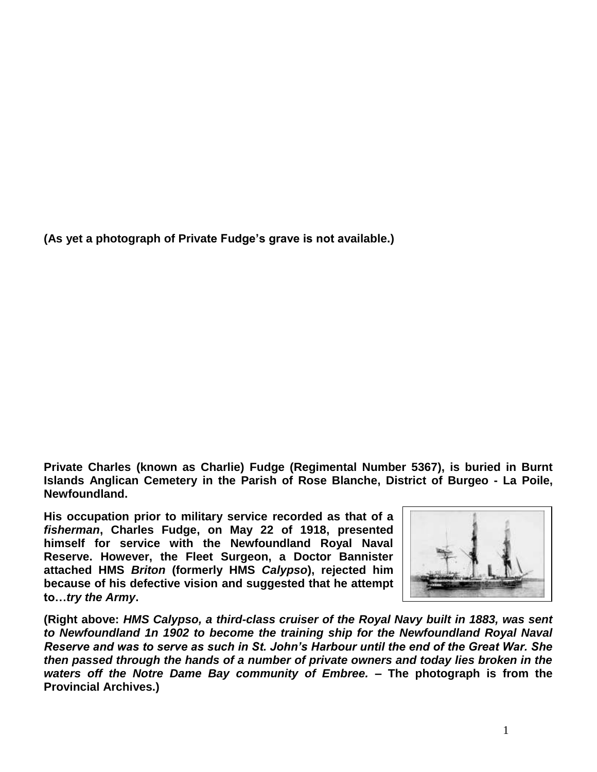**(As yet a photograph of Private Fudge's grave is not available.)**

**Private Charles (known as Charlie) Fudge (Regimental Number 5367), is buried in Burnt Islands Anglican Cemetery in the Parish of Rose Blanche, District of Burgeo - La Poile, Newfoundland.** 

**His occupation prior to military service recorded as that of a**  *fisherman***, Charles Fudge, on May 22 of 1918, presented himself for service with the Newfoundland Royal Naval Reserve. However, the Fleet Surgeon, a Doctor Bannister attached HMS** *Briton* **(formerly HMS** *Calypso***), rejected him because of his defective vision and suggested that he attempt to…***try the Army***.**



**(Right above:** *HMS Calypso, a third-class cruiser of the Royal Navy built in 1883, was sent to Newfoundland 1n 1902 to become the training ship for the Newfoundland Royal Naval Reserve and was to serve as such in St. John's Harbour until the end of the Great War. She then passed through the hands of a number of private owners and today lies broken in the waters off the Notre Dame Bay community of Embree.* **– The photograph is from the Provincial Archives.)**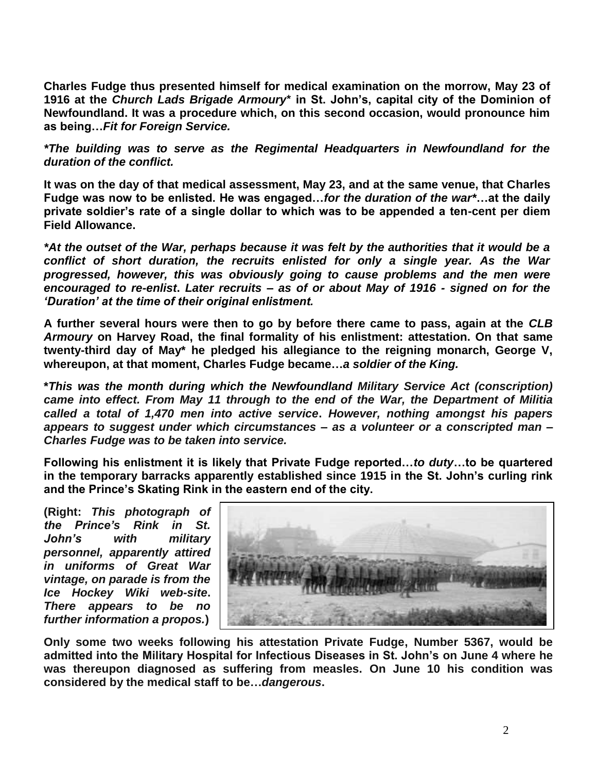**Charles Fudge thus presented himself for medical examination on the morrow, May 23 of 1916 at the** *Church Lads Brigade Armoury***\* in St. John's, capital city of the Dominion of Newfoundland. It was a procedure which, on this second occasion, would pronounce him as being…***Fit for Foreign Service.*

*\*The building was to serve as the Regimental Headquarters in Newfoundland for the duration of the conflict.*

**It was on the day of that medical assessment, May 23, and at the same venue, that Charles Fudge was now to be enlisted. He was engaged…***for the duration of the war\****…at the daily private soldier's rate of a single dollar to which was to be appended a ten-cent per diem Field Allowance.** 

*\*At the outset of the War, perhaps because it was felt by the authorities that it would be a conflict of short duration, the recruits enlisted for only a single year. As the War progressed, however, this was obviously going to cause problems and the men were encouraged to re-enlist***.** *Later recruits – as of or about May of 1916 - signed on for the 'Duration' at the time of their original enlistment.*

**A further several hours were then to go by before there came to pass, again at the** *CLB Armoury* **on Harvey Road, the final formality of his enlistment: attestation. On that same twenty-third day of May\* he pledged his allegiance to the reigning monarch, George V, whereupon, at that moment, Charles Fudge became…***a soldier of the King.*

**\****This was the month during which the Newfoundland Military Service Act (conscription) came into effect. From May 11 through to the end of the War, the Department of Militia called a total of 1,470 men into active service***.** *However, nothing amongst his papers appears to suggest under which circumstances – as a volunteer or a conscripted man – Charles Fudge was to be taken into service.*

**Following his enlistment it is likely that Private Fudge reported…***to duty***…to be quartered in the temporary barracks apparently established since 1915 in the St. John's curling rink and the Prince's Skating Rink in the eastern end of the city.** 

**(Right:** *This photograph of the Prince's Rink in St. John's with military personnel, apparently attired in uniforms of Great War vintage, on parade is from the Ice Hockey Wiki web-site***.**  *There appears to be no further information a propos.***)**



**Only some two weeks following his attestation Private Fudge, Number 5367, would be admitted into the Military Hospital for Infectious Diseases in St. John's on June 4 where he was thereupon diagnosed as suffering from measles. On June 10 his condition was considered by the medical staff to be…***dangerous***.**